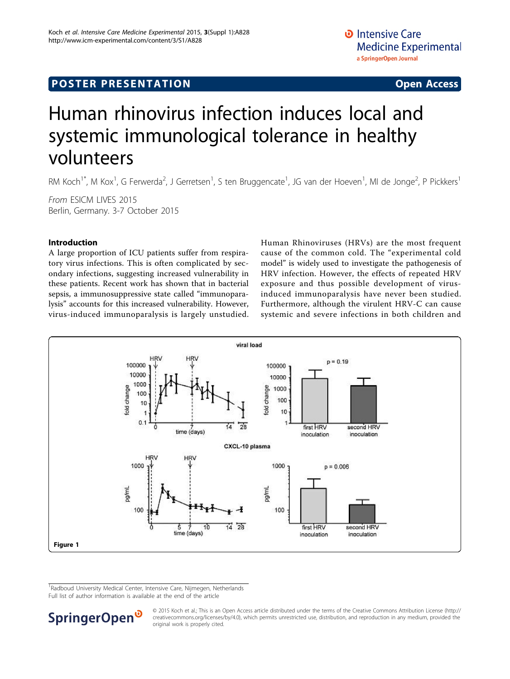# <span id="page-0-0"></span>Human rhinovirus infection induces local and systemic immunological tolerance in healthy volunteers

RM Koch<sup>1\*</sup>, M Kox<sup>1</sup>, G Ferwerda<sup>2</sup>, J Gerretsen<sup>1</sup>, S ten Bruggencate<sup>1</sup>, JG van der Hoeven<sup>1</sup>, MI de Jonge<sup>2</sup>, P Pickkers<sup>1</sup>

From ESICM LIVES 2015 Berlin, Germany. 3-7 October 2015

## Introduction

A large proportion of ICU patients suffer from respiratory virus infections. This is often complicated by secondary infections, suggesting increased vulnerability in these patients. Recent work has shown that in bacterial sepsis, a immunosuppressive state called "immunoparalysis" accounts for this increased vulnerability. However, virus-induced immunoparalysis is largely unstudied. Human Rhinoviruses (HRVs) are the most frequent cause of the common cold. The "experimental cold model" is widely used to investigate the pathogenesis of HRV infection. However, the effects of repeated HRV exposure and thus possible development of virusinduced immunoparalysis have never been studied. Furthermore, although the virulent HRV-C can cause systemic and severe infections in both children and



<sup>1</sup>Radboud University Medical Center, Intensive Care, Nijmegen, Netherlands Full list of author information is available at the end of the article



© 2015 Koch et al.; This is an Open Access article distributed under the terms of the Creative Commons Attribution License [\(http://](http://creativecommons.org/licenses/by/4.0) [creativecommons.org/licenses/by/4.0](http://creativecommons.org/licenses/by/4.0)), which permits unrestricted use, distribution, and reproduction in any medium, provided the original work is properly cited.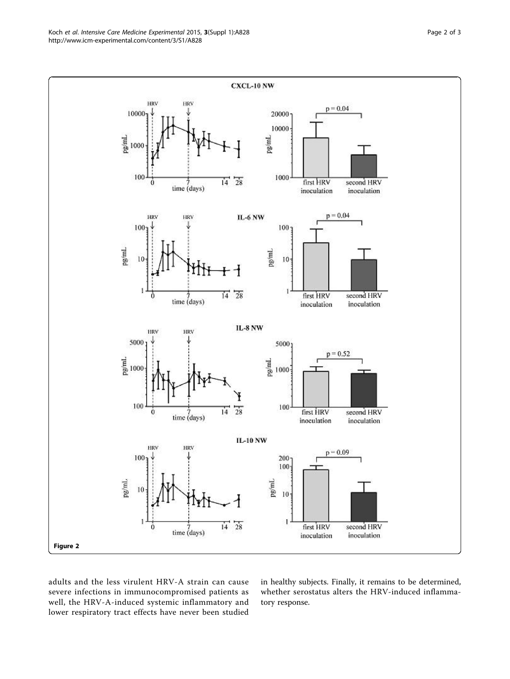<span id="page-1-0"></span>

adults and the less virulent HRV-A strain can cause severe infections in immunocompromised patients as well, the HRV-A-induced systemic inflammatory and lower respiratory tract effects have never been studied in healthy subjects. Finally, it remains to be determined, whether serostatus alters the HRV-induced inflammatory response.